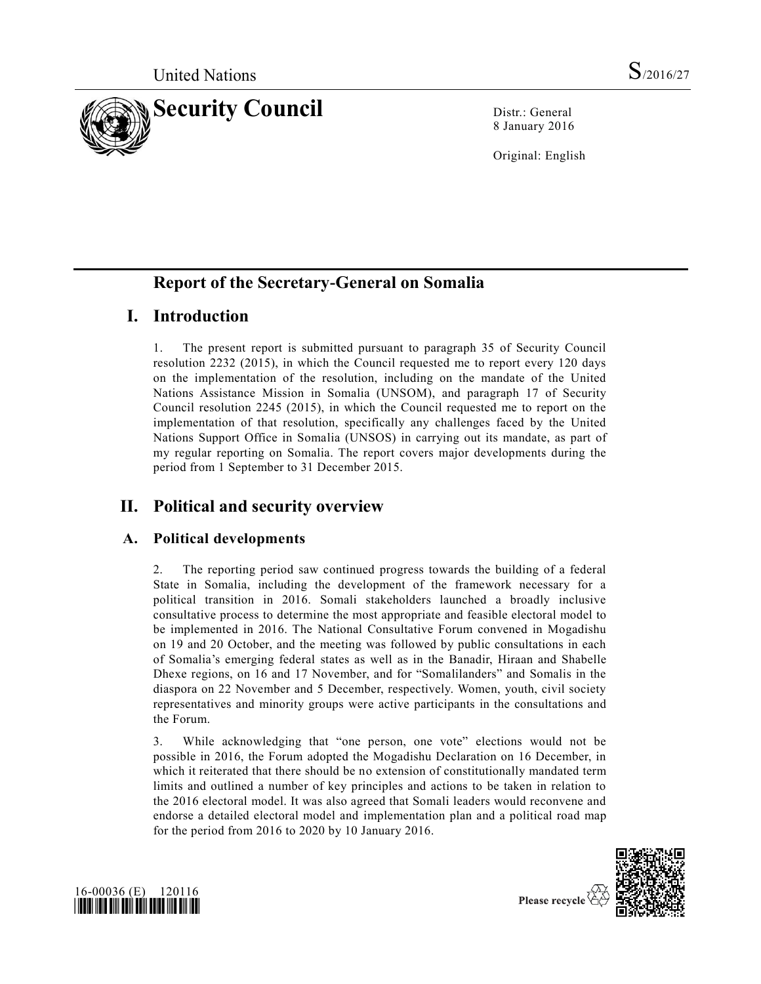

8 January 2016

Original: English

# **Report of the Secretary-General on Somalia**

# **I. Introduction**

1. The present report is submitted pursuant to paragraph 35 of Security Council resolution 2232 (2015), in which the Council requested me to report every 120 days on the implementation of the resolution, including on the mandate of the United Nations Assistance Mission in Somalia (UNSOM), and paragraph 17 of Security Council resolution 2245 (2015), in which the Council requested me to report on the implementation of that resolution, specifically any challenges faced by the United Nations Support Office in Somalia (UNSOS) in carrying out its mandate, as part of my regular reporting on Somalia. The report covers major developments during the period from 1 September to 31 December 2015.

# **II. Political and security overview**

## **A. Political developments**

2. The reporting period saw continued progress towards the building of a federal State in Somalia, including the development of the framework necessary for a political transition in 2016. Somali stakeholders launched a broadly inclusive consultative process to determine the most appropriate and feasible electoral model to be implemented in 2016. The National Consultative Forum convened in Mogadishu on 19 and 20 October, and the meeting was followed by public consultations in each of Somalia's emerging federal states as well as in the Banadir, Hiraan and Shabelle Dhexe regions, on 16 and 17 November, and for "Somalilanders" and Somalis in the diaspora on 22 November and 5 December, respectively. Women, youth, civil society representatives and minority groups were active participants in the consultations and the Forum.

3. While acknowledging that "one person, one vote" elections would not be possible in 2016, the Forum adopted the Mogadishu Declaration on 16 December, in which it reiterated that there should be no extension of constitutionally mandated term limits and outlined a number of key principles and actions to be taken in relation to the 2016 electoral model. It was also agreed that Somali leaders would reconvene and endorse a detailed electoral model and implementation plan and a political road map for the period from 2016 to 2020 by 10 January 2016.





Please recycle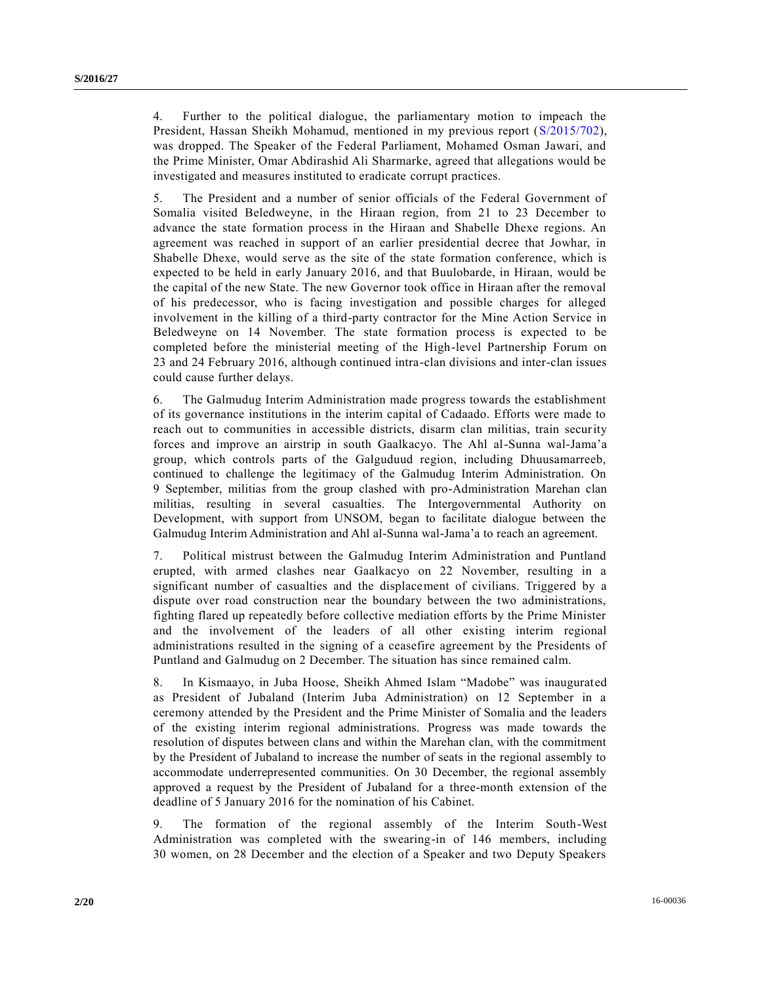4. Further to the political dialogue, the parliamentary motion to impeach the President, Hassan Sheikh Mohamud, mentioned in my previous report [\(S/2015/702\)](http://undocs.org/S/2015/702), was dropped. The Speaker of the Federal Parliament, Mohamed Osman Jawari, and the Prime Minister, Omar Abdirashid Ali Sharmarke, agreed that allegations would be investigated and measures instituted to eradicate corrupt practices.

5. The President and a number of senior officials of the Federal Government of Somalia visited Beledweyne, in the Hiraan region, from 21 to 23 December to advance the state formation process in the Hiraan and Shabelle Dhexe regions. An agreement was reached in support of an earlier presidential decree that Jowhar, in Shabelle Dhexe, would serve as the site of the state formation conference, which is expected to be held in early January 2016, and that Buulobarde, in Hiraan, would be the capital of the new State. The new Governor took office in Hiraan after the removal of his predecessor, who is facing investigation and possible charges for alleged involvement in the killing of a third-party contractor for the Mine Action Service in Beledweyne on 14 November. The state formation process is expected to be completed before the ministerial meeting of the High-level Partnership Forum on 23 and 24 February 2016, although continued intra-clan divisions and inter-clan issues could cause further delays.

6. The Galmudug Interim Administration made progress towards the establishment of its governance institutions in the interim capital of Cadaado. Efforts were made to reach out to communities in accessible districts, disarm clan militias, train security forces and improve an airstrip in south Gaalkacyo. The Ahl al-Sunna wal-Jama'a group, which controls parts of the Galguduud region, including Dhuusamarreeb, continued to challenge the legitimacy of the Galmudug Interim Administration. On 9 September, militias from the group clashed with pro-Administration Marehan clan militias, resulting in several casualties. The Intergovernmental Authority on Development, with support from UNSOM, began to facilitate dialogue between the Galmudug Interim Administration and Ahl al-Sunna wal-Jama'a to reach an agreement.

7. Political mistrust between the Galmudug Interim Administration and Puntland erupted, with armed clashes near Gaalkacyo on 22 November, resulting in a significant number of casualties and the displacement of civilians. Triggered by a dispute over road construction near the boundary between the two administrations, fighting flared up repeatedly before collective mediation efforts by the Prime Minister and the involvement of the leaders of all other existing interim regional administrations resulted in the signing of a ceasefire agreement by the Presidents of Puntland and Galmudug on 2 December. The situation has since remained calm.

8. In Kismaayo, in Juba Hoose, Sheikh Ahmed Islam "Madobe" was inaugurated as President of Jubaland (Interim Juba Administration) on 12 September in a ceremony attended by the President and the Prime Minister of Somalia and the leaders of the existing interim regional administrations. Progress was made towards the resolution of disputes between clans and within the Marehan clan, with the commitment by the President of Jubaland to increase the number of seats in the regional assembly to accommodate underrepresented communities. On 30 December, the regional assembly approved a request by the President of Jubaland for a three-month extension of the deadline of 5 January 2016 for the nomination of his Cabinet.

9. The formation of the regional assembly of the Interim South-West Administration was completed with the swearing-in of 146 members, including 30 women, on 28 December and the election of a Speaker and two Deputy Speakers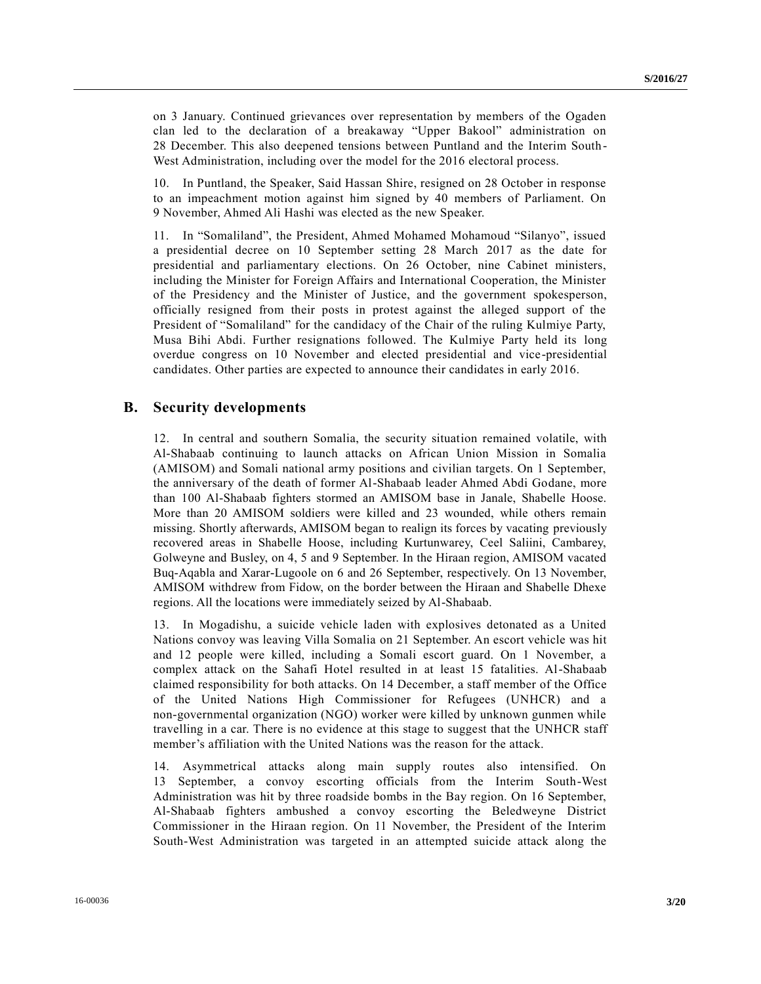on 3 January. Continued grievances over representation by members of the Ogaden clan led to the declaration of a breakaway "Upper Bakool" administration on 28 December. This also deepened tensions between Puntland and the Interim South-West Administration, including over the model for the 2016 electoral process.

10. In Puntland, the Speaker, Said Hassan Shire, resigned on 28 October in response to an impeachment motion against him signed by 40 members of Parliament. On 9 November, Ahmed Ali Hashi was elected as the new Speaker.

11. In "Somaliland", the President, Ahmed Mohamed Mohamoud "Silanyo", issued a presidential decree on 10 September setting 28 March 2017 as the date for presidential and parliamentary elections. On 26 October, nine Cabinet ministers, including the Minister for Foreign Affairs and International Cooperation, the Minister of the Presidency and the Minister of Justice, and the government spokesperson, officially resigned from their posts in protest against the alleged support of the President of "Somaliland" for the candidacy of the Chair of the ruling Kulmiye Party, Musa Bihi Abdi. Further resignations followed. The Kulmiye Party held its long overdue congress on 10 November and elected presidential and vice-presidential candidates. Other parties are expected to announce their candidates in early 2016.

### **B. Security developments**

12. In central and southern Somalia, the security situation remained volatile, with Al-Shabaab continuing to launch attacks on African Union Mission in Somalia (AMISOM) and Somali national army positions and civilian targets. On 1 September, the anniversary of the death of former Al-Shabaab leader Ahmed Abdi Godane, more than 100 Al-Shabaab fighters stormed an AMISOM base in Janale, Shabelle Hoose. More than 20 AMISOM soldiers were killed and 23 wounded, while others remain missing. Shortly afterwards, AMISOM began to realign its forces by vacating previously recovered areas in Shabelle Hoose, including Kurtunwarey, Ceel Saliini, Cambarey, Golweyne and Busley, on 4, 5 and 9 September. In the Hiraan region, AMISOM vacated Buq-Aqabla and Xarar-Lugoole on 6 and 26 September, respectively. On 13 November, AMISOM withdrew from Fidow, on the border between the Hiraan and Shabelle Dhexe regions. All the locations were immediately seized by Al-Shabaab.

13. In Mogadishu, a suicide vehicle laden with explosives detonated as a United Nations convoy was leaving Villa Somalia on 21 September. An escort vehicle was hit and 12 people were killed, including a Somali escort guard. On 1 November, a complex attack on the Sahafi Hotel resulted in at least 15 fatalities. Al-Shabaab claimed responsibility for both attacks. On 14 December, a staff member of the Office of the United Nations High Commissioner for Refugees (UNHCR) and a non-governmental organization (NGO) worker were killed by unknown gunmen while travelling in a car. There is no evidence at this stage to suggest that the UNHCR staff member's affiliation with the United Nations was the reason for the attack.

14. Asymmetrical attacks along main supply routes also intensified. On 13 September, a convoy escorting officials from the Interim South-West Administration was hit by three roadside bombs in the Bay region. On 16 September, Al-Shabaab fighters ambushed a convoy escorting the Beledweyne District Commissioner in the Hiraan region. On 11 November, the President of the Interim South-West Administration was targeted in an attempted suicide attack along the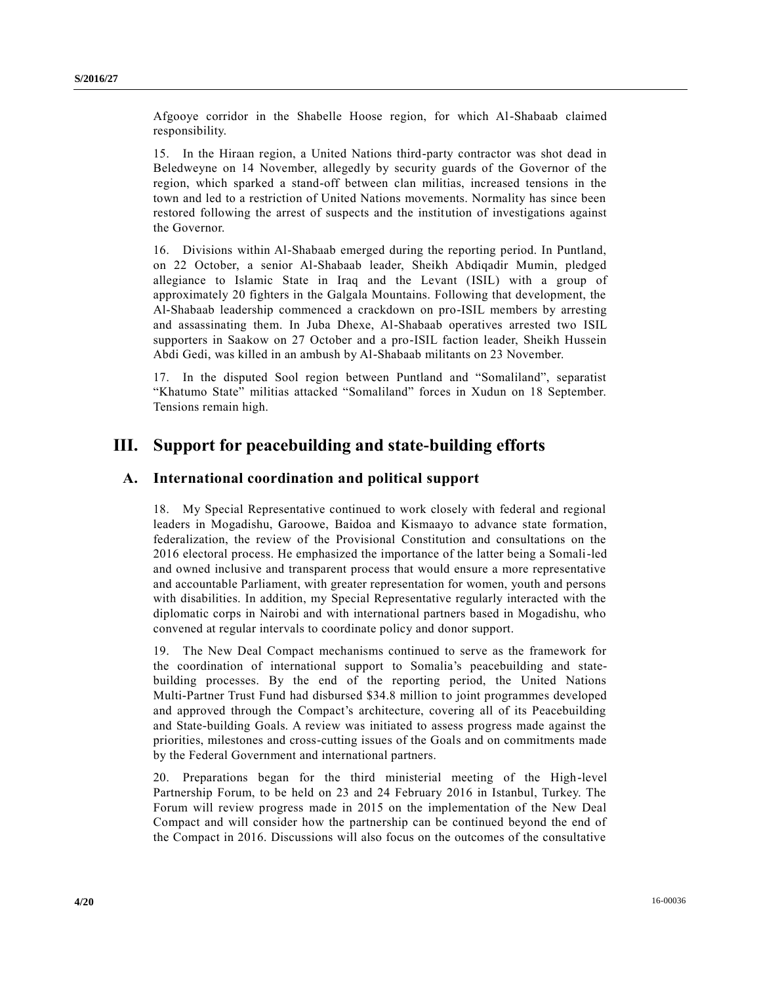Afgooye corridor in the Shabelle Hoose region, for which Al-Shabaab claimed responsibility.

15. In the Hiraan region, a United Nations third-party contractor was shot dead in Beledweyne on 14 November, allegedly by security guards of the Governor of the region, which sparked a stand-off between clan militias, increased tensions in the town and led to a restriction of United Nations movements. Normality has since been restored following the arrest of suspects and the institution of investigations against the Governor.

16. Divisions within Al-Shabaab emerged during the reporting period. In Puntland, on 22 October, a senior Al-Shabaab leader, Sheikh Abdiqadir Mumin, pledged allegiance to Islamic State in Iraq and the Levant (ISIL) with a group of approximately 20 fighters in the Galgala Mountains. Following that development, the Al-Shabaab leadership commenced a crackdown on pro-ISIL members by arresting and assassinating them. In Juba Dhexe, Al-Shabaab operatives arrested two ISIL supporters in Saakow on 27 October and a pro-ISIL faction leader, Sheikh Hussein Abdi Gedi, was killed in an ambush by Al-Shabaab militants on 23 November.

17. In the disputed Sool region between Puntland and "Somaliland", separatist "Khatumo State" militias attacked "Somaliland" forces in Xudun on 18 September. Tensions remain high.

# **III. Support for peacebuilding and state-building efforts**

### **A. International coordination and political support**

18. My Special Representative continued to work closely with federal and regional leaders in Mogadishu, Garoowe, Baidoa and Kismaayo to advance state formation, federalization, the review of the Provisional Constitution and consultations on the 2016 electoral process. He emphasized the importance of the latter being a Somali-led and owned inclusive and transparent process that would ensure a more representative and accountable Parliament, with greater representation for women, youth and persons with disabilities. In addition, my Special Representative regularly interacted with the diplomatic corps in Nairobi and with international partners based in Mogadishu, who convened at regular intervals to coordinate policy and donor support.

19. The New Deal Compact mechanisms continued to serve as the framework for the coordination of international support to Somalia's peacebuilding and statebuilding processes. By the end of the reporting period, the United Nations Multi-Partner Trust Fund had disbursed \$34.8 million to joint programmes developed and approved through the Compact's architecture, covering all of its Peacebuilding and State-building Goals. A review was initiated to assess progress made against the priorities, milestones and cross-cutting issues of the Goals and on commitments made by the Federal Government and international partners.

20. Preparations began for the third ministerial meeting of the High-level Partnership Forum, to be held on 23 and 24 February 2016 in Istanbul, Turkey. The Forum will review progress made in 2015 on the implementation of the New Deal Compact and will consider how the partnership can be continued beyond the end of the Compact in 2016. Discussions will also focus on the outcomes of the consultative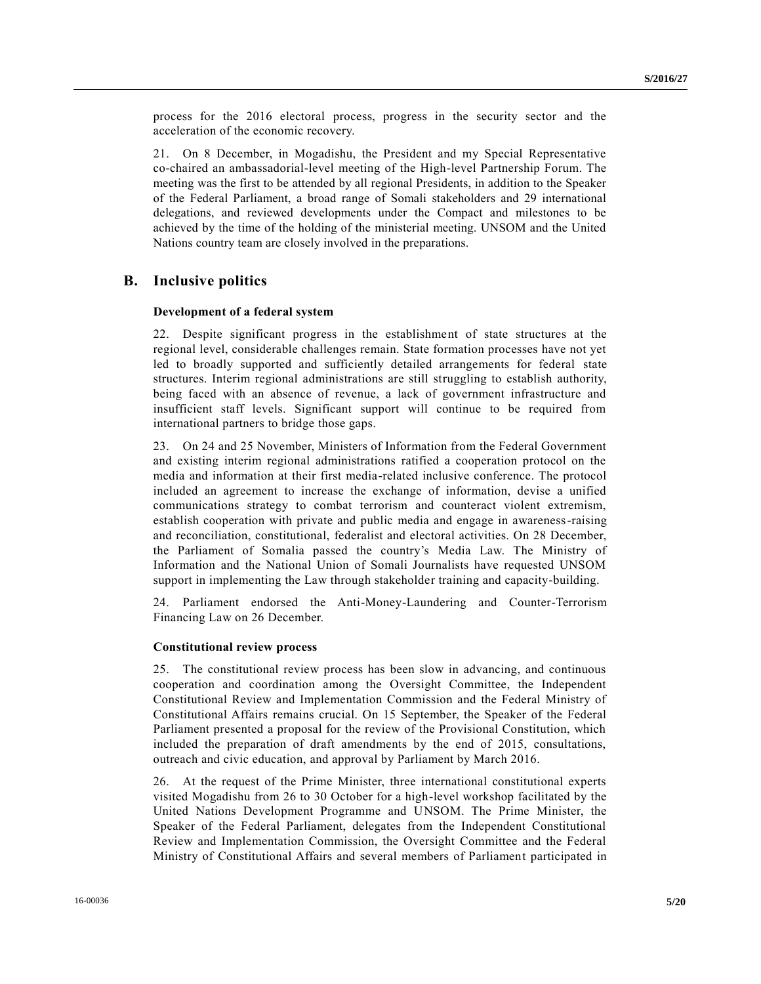process for the 2016 electoral process, progress in the security sector and the acceleration of the economic recovery.

21. On 8 December, in Mogadishu, the President and my Special Representative co-chaired an ambassadorial-level meeting of the High-level Partnership Forum. The meeting was the first to be attended by all regional Presidents, in addition to the Speaker of the Federal Parliament, a broad range of Somali stakeholders and 29 international delegations, and reviewed developments under the Compact and milestones to be achieved by the time of the holding of the ministerial meeting. UNSOM and the United Nations country team are closely involved in the preparations.

### **B. Inclusive politics**

### **Development of a federal system**

22. Despite significant progress in the establishment of state structures at the regional level, considerable challenges remain. State formation processes have not yet led to broadly supported and sufficiently detailed arrangements for federal state structures. Interim regional administrations are still struggling to establish authority, being faced with an absence of revenue, a lack of government infrastructure and insufficient staff levels. Significant support will continue to be required from international partners to bridge those gaps.

23. On 24 and 25 November, Ministers of Information from the Federal Government and existing interim regional administrations ratified a cooperation protocol on the media and information at their first media-related inclusive conference. The protocol included an agreement to increase the exchange of information, devise a unified communications strategy to combat terrorism and counteract violent extremism, establish cooperation with private and public media and engage in awareness-raising and reconciliation, constitutional, federalist and electoral activities. On 28 December, the Parliament of Somalia passed the country's Media Law. The Ministry of Information and the National Union of Somali Journalists have requested UNSOM support in implementing the Law through stakeholder training and capacity-building.

24. Parliament endorsed the Anti-Money-Laundering and Counter-Terrorism Financing Law on 26 December.

#### **Constitutional review process**

25. The constitutional review process has been slow in advancing, and continuous cooperation and coordination among the Oversight Committee, the Independent Constitutional Review and Implementation Commission and the Federal Ministry of Constitutional Affairs remains crucial. On 15 September, the Speaker of the Federal Parliament presented a proposal for the review of the Provisional Constitution, which included the preparation of draft amendments by the end of 2015, consultations, outreach and civic education, and approval by Parliament by March 2016.

26. At the request of the Prime Minister, three international constitutional experts visited Mogadishu from 26 to 30 October for a high-level workshop facilitated by the United Nations Development Programme and UNSOM. The Prime Minister, the Speaker of the Federal Parliament, delegates from the Independent Constitutional Review and Implementation Commission, the Oversight Committee and the Federal Ministry of Constitutional Affairs and several members of Parliament participated in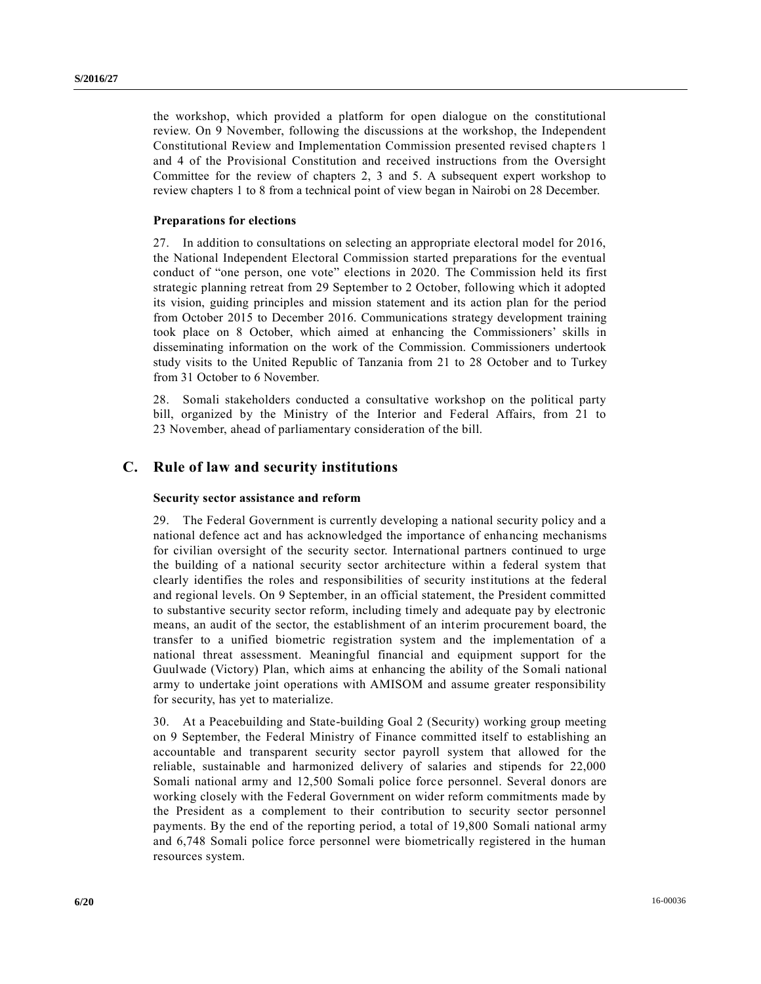the workshop, which provided a platform for open dialogue on the constitutional review. On 9 November, following the discussions at the workshop, the Independent Constitutional Review and Implementation Commission presented revised chapters 1 and 4 of the Provisional Constitution and received instructions from the Oversight Committee for the review of chapters 2, 3 and 5. A subsequent expert workshop to review chapters 1 to 8 from a technical point of view began in Nairobi on 28 December.

#### **Preparations for elections**

27. In addition to consultations on selecting an appropriate electoral model for 2016, the National Independent Electoral Commission started preparations for the eventual conduct of "one person, one vote" elections in 2020. The Commission held its first strategic planning retreat from 29 September to 2 October, following which it adopted its vision, guiding principles and mission statement and its action plan for the period from October 2015 to December 2016. Communications strategy development training took place on 8 October, which aimed at enhancing the Commissioners' skills in disseminating information on the work of the Commission. Commissioners undertook study visits to the United Republic of Tanzania from 21 to 28 October and to Turkey from 31 October to 6 November.

28. Somali stakeholders conducted a consultative workshop on the political party bill, organized by the Ministry of the Interior and Federal Affairs, from 21 to 23 November, ahead of parliamentary consideration of the bill.

### **C. Rule of law and security institutions**

#### **Security sector assistance and reform**

29. The Federal Government is currently developing a national security policy and a national defence act and has acknowledged the importance of enhancing mechanisms for civilian oversight of the security sector. International partners continued to urge the building of a national security sector architecture within a federal system that clearly identifies the roles and responsibilities of security institutions at the federal and regional levels. On 9 September, in an official statement, the President committed to substantive security sector reform, including timely and adequate pay by electronic means, an audit of the sector, the establishment of an interim procurement board, the transfer to a unified biometric registration system and the implementation of a national threat assessment. Meaningful financial and equipment support for the Guulwade (Victory) Plan, which aims at enhancing the ability of the Somali national army to undertake joint operations with AMISOM and assume greater responsibility for security, has yet to materialize.

30. At a Peacebuilding and State-building Goal 2 (Security) working group meeting on 9 September, the Federal Ministry of Finance committed itself to establishing an accountable and transparent security sector payroll system that allowed for the reliable, sustainable and harmonized delivery of salaries and stipends for 22,000 Somali national army and 12,500 Somali police force personnel. Several donors are working closely with the Federal Government on wider reform commitments made by the President as a complement to their contribution to security sector personnel payments. By the end of the reporting period, a total of 19,800 Somali national army and 6,748 Somali police force personnel were biometrically registered in the human resources system.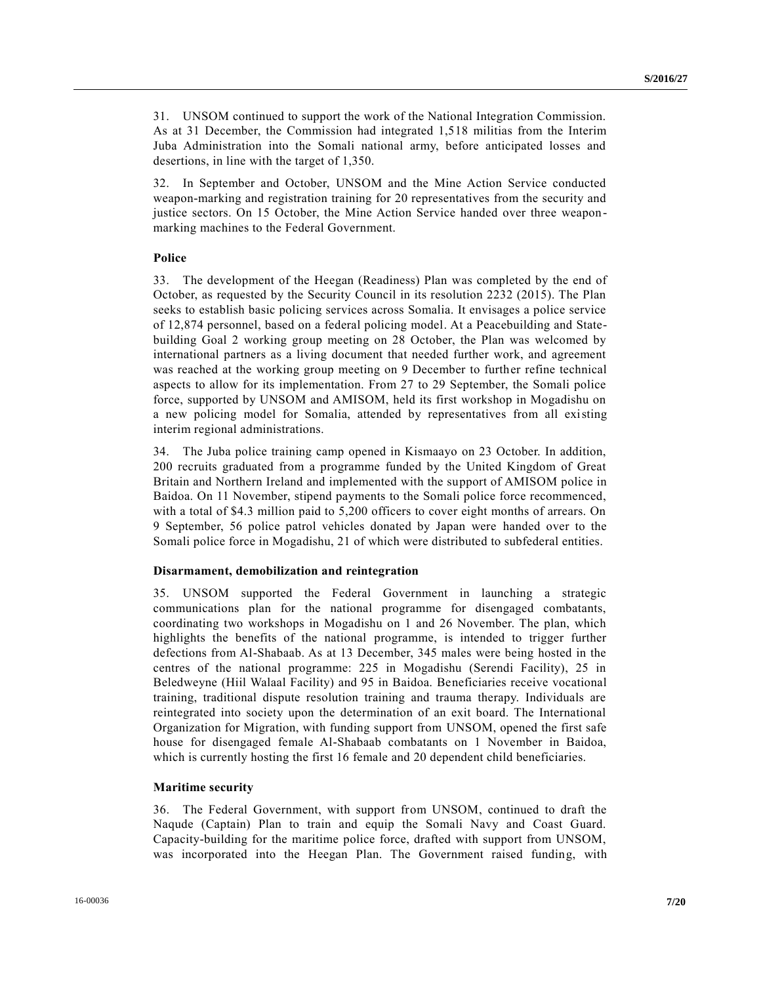31. UNSOM continued to support the work of the National Integration Commission. As at 31 December, the Commission had integrated 1,518 militias from the Interim Juba Administration into the Somali national army, before anticipated losses and desertions, in line with the target of 1,350.

32. In September and October, UNSOM and the Mine Action Service conducted weapon-marking and registration training for 20 representatives from the security and justice sectors. On 15 October, the Mine Action Service handed over three weaponmarking machines to the Federal Government.

#### **Police**

33. The development of the Heegan (Readiness) Plan was completed by the end of October, as requested by the Security Council in its resolution 2232 (2015). The Plan seeks to establish basic policing services across Somalia. It envisages a police service of 12,874 personnel, based on a federal policing model. At a Peacebuilding and Statebuilding Goal 2 working group meeting on 28 October, the Plan was welcomed by international partners as a living document that needed further work, and agreement was reached at the working group meeting on 9 December to further refine technical aspects to allow for its implementation. From 27 to 29 September, the Somali police force, supported by UNSOM and AMISOM, held its first workshop in Mogadishu on a new policing model for Somalia, attended by representatives from all existing interim regional administrations.

34. The Juba police training camp opened in Kismaayo on 23 October. In addition, 200 recruits graduated from a programme funded by the United Kingdom of Great Britain and Northern Ireland and implemented with the support of AMISOM police in Baidoa. On 11 November, stipend payments to the Somali police force recommenced, with a total of \$4.3 million paid to 5,200 officers to cover eight months of arrears. On 9 September, 56 police patrol vehicles donated by Japan were handed over to the Somali police force in Mogadishu, 21 of which were distributed to subfederal entities.

#### **Disarmament, demobilization and reintegration**

35. UNSOM supported the Federal Government in launching a strategic communications plan for the national programme for disengaged combatants, coordinating two workshops in Mogadishu on 1 and 26 November. The plan, which highlights the benefits of the national programme, is intended to trigger further defections from Al-Shabaab. As at 13 December, 345 males were being hosted in the centres of the national programme: 225 in Mogadishu (Serendi Facility), 25 in Beledweyne (Hiil Walaal Facility) and 95 in Baidoa. Beneficiaries receive vocational training, traditional dispute resolution training and trauma therapy. Individuals are reintegrated into society upon the determination of an exit board. The International Organization for Migration, with funding support from UNSOM, opened the first safe house for disengaged female Al-Shabaab combatants on 1 November in Baidoa, which is currently hosting the first 16 female and 20 dependent child beneficiaries.

#### **Maritime security**

36. The Federal Government, with support from UNSOM, continued to draft the Naqude (Captain) Plan to train and equip the Somali Navy and Coast Guard. Capacity-building for the maritime police force, drafted with support from UNSOM, was incorporated into the Heegan Plan. The Government raised funding, with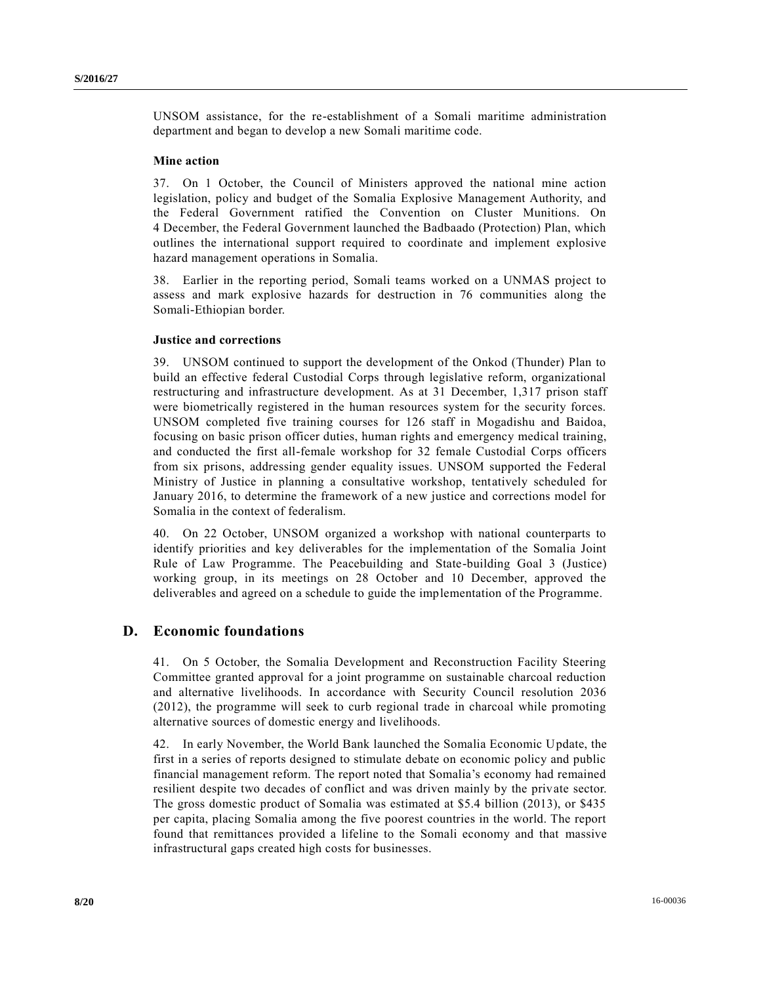UNSOM assistance, for the re-establishment of a Somali maritime administration department and began to develop a new Somali maritime code.

#### **Mine action**

37. On 1 October, the Council of Ministers approved the national mine action legislation, policy and budget of the Somalia Explosive Management Authority, and the Federal Government ratified the Convention on Cluster Munitions. On 4 December, the Federal Government launched the Badbaado (Protection) Plan, which outlines the international support required to coordinate and implement explosive hazard management operations in Somalia.

38. Earlier in the reporting period, Somali teams worked on a UNMAS project to assess and mark explosive hazards for destruction in 76 communities along the Somali-Ethiopian border.

#### **Justice and corrections**

39. UNSOM continued to support the development of the Onkod (Thunder) Plan to build an effective federal Custodial Corps through legislative reform, organizational restructuring and infrastructure development. As at 31 December, 1,317 prison staff were biometrically registered in the human resources system for the security forces. UNSOM completed five training courses for 126 staff in Mogadishu and Baidoa, focusing on basic prison officer duties, human rights and emergency medical training, and conducted the first all-female workshop for 32 female Custodial Corps officers from six prisons, addressing gender equality issues. UNSOM supported the Federal Ministry of Justice in planning a consultative workshop, tentatively scheduled for January 2016, to determine the framework of a new justice and corrections model for Somalia in the context of federalism.

40. On 22 October, UNSOM organized a workshop with national counterparts to identify priorities and key deliverables for the implementation of the Somalia Joint Rule of Law Programme. The Peacebuilding and State-building Goal 3 (Justice) working group, in its meetings on 28 October and 10 December, approved the deliverables and agreed on a schedule to guide the implementation of the Programme.

### **D. Economic foundations**

41. On 5 October, the Somalia Development and Reconstruction Facility Steering Committee granted approval for a joint programme on sustainable charcoal reduction and alternative livelihoods. In accordance with Security Council resolution 2036 (2012), the programme will seek to curb regional trade in charcoal while promoting alternative sources of domestic energy and livelihoods.

42. In early November, the World Bank launched the Somalia Economic Update, the first in a series of reports designed to stimulate debate on economic policy and public financial management reform. The report noted that Somalia's economy had remained resilient despite two decades of conflict and was driven mainly by the private sector. The gross domestic product of Somalia was estimated at \$5.4 billion (2013), or \$435 per capita, placing Somalia among the five poorest countries in the world. The report found that remittances provided a lifeline to the Somali economy and that massive infrastructural gaps created high costs for businesses.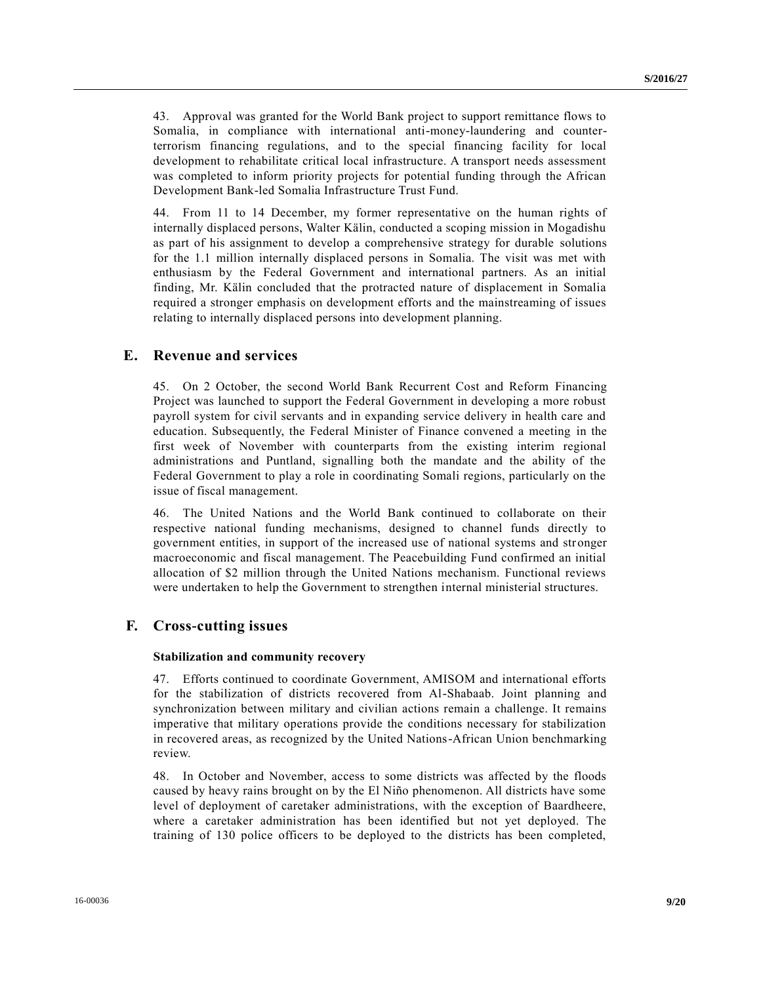43. Approval was granted for the World Bank project to support remittance flows to Somalia, in compliance with international anti-money-laundering and counterterrorism financing regulations, and to the special financing facility for local development to rehabilitate critical local infrastructure. A transport needs assessment was completed to inform priority projects for potential funding through the African Development Bank-led Somalia Infrastructure Trust Fund.

44. From 11 to 14 December, my former representative on the human rights of internally displaced persons, Walter Kälin, conducted a scoping mission in Mogadishu as part of his assignment to develop a comprehensive strategy for durable solutions for the 1.1 million internally displaced persons in Somalia. The visit was met with enthusiasm by the Federal Government and international partners. As an initial finding, Mr. Kälin concluded that the protracted nature of displacement in Somalia required a stronger emphasis on development efforts and the mainstreaming of issues relating to internally displaced persons into development planning.

### **E. Revenue and services**

45. On 2 October, the second World Bank Recurrent Cost and Reform Financing Project was launched to support the Federal Government in developing a more robust payroll system for civil servants and in expanding service delivery in health care and education. Subsequently, the Federal Minister of Finance convened a meeting in the first week of November with counterparts from the existing interim regional administrations and Puntland, signalling both the mandate and the ability of the Federal Government to play a role in coordinating Somali regions, particularly on the issue of fiscal management.

46. The United Nations and the World Bank continued to collaborate on their respective national funding mechanisms, designed to channel funds directly to government entities, in support of the increased use of national systems and stronger macroeconomic and fiscal management. The Peacebuilding Fund confirmed an initial allocation of \$2 million through the United Nations mechanism. Functional reviews were undertaken to help the Government to strengthen internal ministerial structures.

### **F. Cross-cutting issues**

### **Stabilization and community recovery**

47. Efforts continued to coordinate Government, AMISOM and international efforts for the stabilization of districts recovered from Al-Shabaab. Joint planning and synchronization between military and civilian actions remain a challenge. It remains imperative that military operations provide the conditions necessary for stabilization in recovered areas, as recognized by the United Nations-African Union benchmarking review.

48. In October and November, access to some districts was affected by the floods caused by heavy rains brought on by the El Niño phenomenon. All districts have some level of deployment of caretaker administrations, with the exception of Baardheere, where a caretaker administration has been identified but not yet deployed. The training of 130 police officers to be deployed to the districts has been completed,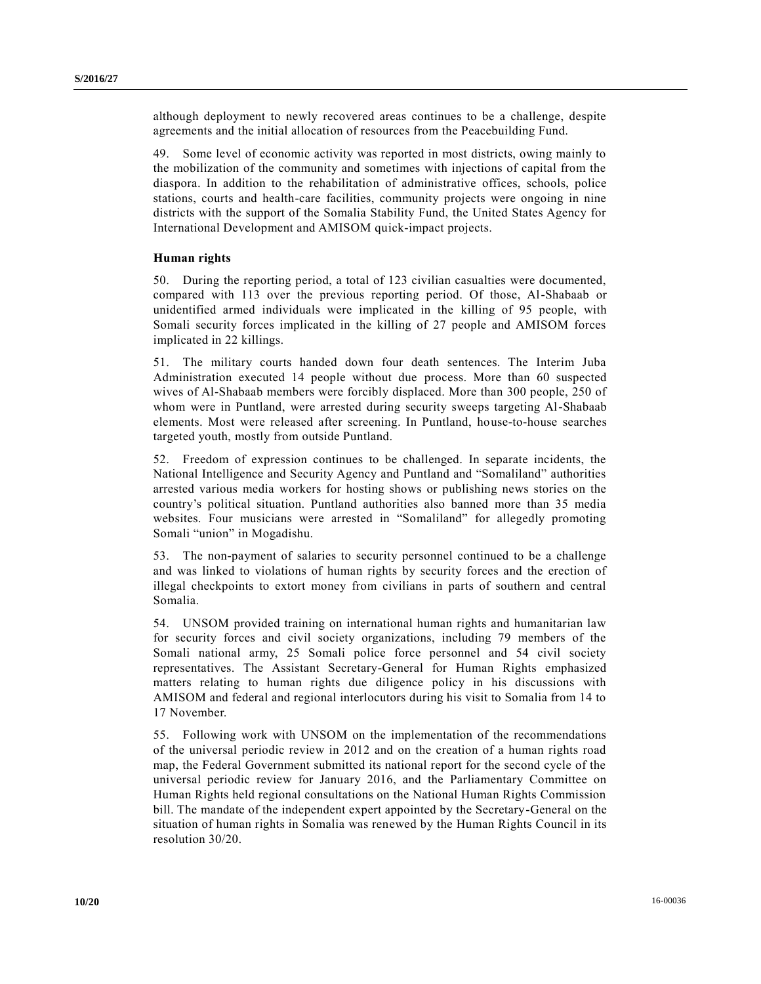although deployment to newly recovered areas continues to be a challenge, despite agreements and the initial allocation of resources from the Peacebuilding Fund.

49. Some level of economic activity was reported in most districts, owing mainly to the mobilization of the community and sometimes with injections of capital from the diaspora. In addition to the rehabilitation of administrative offices, schools, police stations, courts and health-care facilities, community projects were ongoing in nine districts with the support of the Somalia Stability Fund, the United States Agency for International Development and AMISOM quick-impact projects.

### **Human rights**

50. During the reporting period, a total of 123 civilian casualties were documented, compared with 113 over the previous reporting period. Of those, Al-Shabaab or unidentified armed individuals were implicated in the killing of 95 people, with Somali security forces implicated in the killing of 27 people and AMISOM forces implicated in 22 killings.

51. The military courts handed down four death sentences. The Interim Juba Administration executed 14 people without due process. More than 60 suspected wives of Al-Shabaab members were forcibly displaced. More than 300 people, 250 of whom were in Puntland, were arrested during security sweeps targeting Al-Shabaab elements. Most were released after screening. In Puntland, house-to-house searches targeted youth, mostly from outside Puntland.

52. Freedom of expression continues to be challenged. In separate incidents, the National Intelligence and Security Agency and Puntland and "Somaliland" authorities arrested various media workers for hosting shows or publishing news stories on the country's political situation. Puntland authorities also banned more than 35 media websites. Four musicians were arrested in "Somaliland" for allegedly promoting Somali "union" in Mogadishu.

53. The non-payment of salaries to security personnel continued to be a challenge and was linked to violations of human rights by security forces and the erection of illegal checkpoints to extort money from civilians in parts of southern and central Somalia.

54. UNSOM provided training on international human rights and humanitarian law for security forces and civil society organizations, including 79 members of the Somali national army, 25 Somali police force personnel and 54 civil society representatives. The Assistant Secretary-General for Human Rights emphasized matters relating to human rights due diligence policy in his discussions with AMISOM and federal and regional interlocutors during his visit to Somalia from 14 to 17 November.

55. Following work with UNSOM on the implementation of the recommendations of the universal periodic review in 2012 and on the creation of a human rights road map, the Federal Government submitted its national report for the second cycle of the universal periodic review for January 2016, and the Parliamentary Committee on Human Rights held regional consultations on the National Human Rights Commission bill. The mandate of the independent expert appointed by the Secretary-General on the situation of human rights in Somalia was renewed by the Human Rights Council in its resolution 30/20.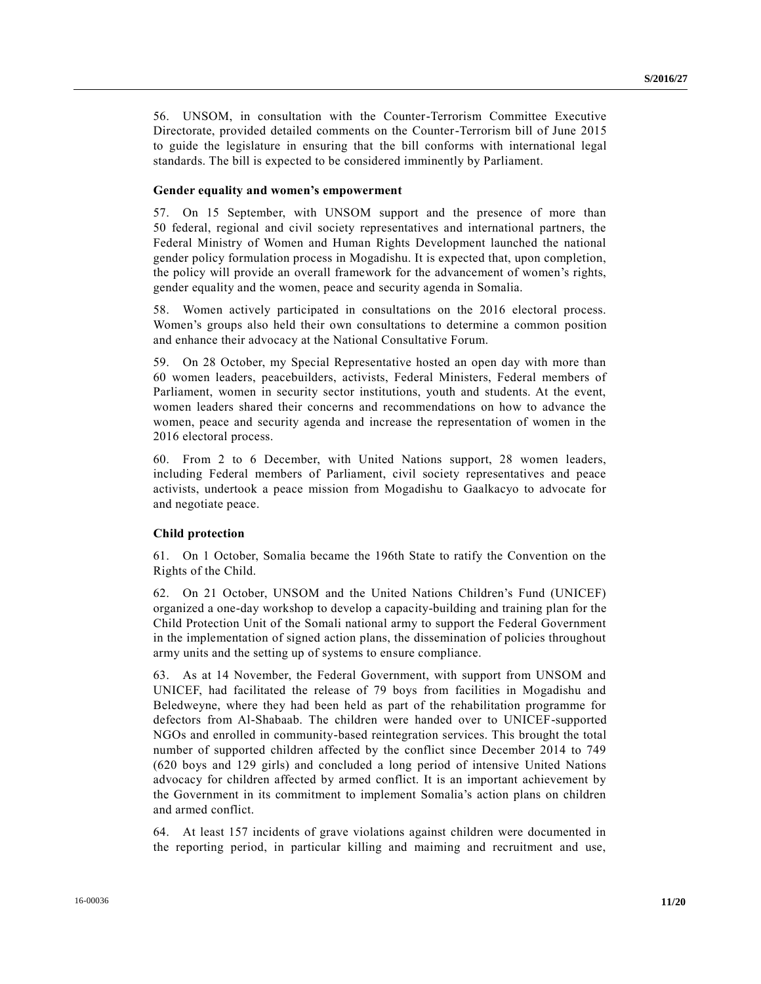56. UNSOM, in consultation with the Counter-Terrorism Committee Executive Directorate, provided detailed comments on the Counter-Terrorism bill of June 2015 to guide the legislature in ensuring that the bill conforms with international legal standards. The bill is expected to be considered imminently by Parliament.

#### **Gender equality and women's empowerment**

57. On 15 September, with UNSOM support and the presence of more than 50 federal, regional and civil society representatives and international partners, the Federal Ministry of Women and Human Rights Development launched the national gender policy formulation process in Mogadishu. It is expected that, upon completion, the policy will provide an overall framework for the advancement of women's rights, gender equality and the women, peace and security agenda in Somalia.

58. Women actively participated in consultations on the 2016 electoral process. Women's groups also held their own consultations to determine a common position and enhance their advocacy at the National Consultative Forum.

59. On 28 October, my Special Representative hosted an open day with more than 60 women leaders, peacebuilders, activists, Federal Ministers, Federal members of Parliament, women in security sector institutions, youth and students. At the event, women leaders shared their concerns and recommendations on how to advance the women, peace and security agenda and increase the representation of women in the 2016 electoral process.

60. From 2 to 6 December, with United Nations support, 28 women leaders, including Federal members of Parliament, civil society representatives and peace activists, undertook a peace mission from Mogadishu to Gaalkacyo to advocate for and negotiate peace.

#### **Child protection**

61. On 1 October, Somalia became the 196th State to ratify the Convention on the Rights of the Child.

62. On 21 October, UNSOM and the United Nations Children's Fund (UNICEF) organized a one-day workshop to develop a capacity-building and training plan for the Child Protection Unit of the Somali national army to support the Federal Government in the implementation of signed action plans, the dissemination of policies throughout army units and the setting up of systems to ensure compliance.

63. As at 14 November, the Federal Government, with support from UNSOM and UNICEF, had facilitated the release of 79 boys from facilities in Mogadishu and Beledweyne, where they had been held as part of the rehabilitation programme for defectors from Al-Shabaab. The children were handed over to UNICEF-supported NGOs and enrolled in community-based reintegration services. This brought the total number of supported children affected by the conflict since December 2014 to 749 (620 boys and 129 girls) and concluded a long period of intensive United Nations advocacy for children affected by armed conflict. It is an important achievement by the Government in its commitment to implement Somalia's action plans on children and armed conflict.

64. At least 157 incidents of grave violations against children were documented in the reporting period, in particular killing and maiming and recruitment and use,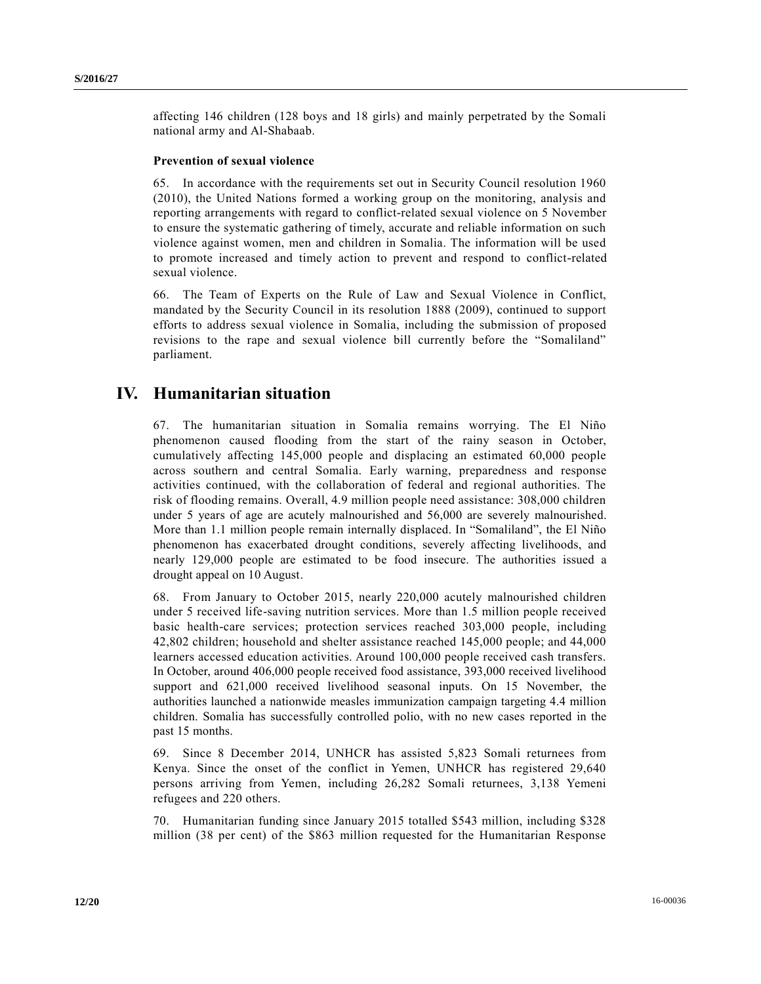affecting 146 children (128 boys and 18 girls) and mainly perpetrated by the Somali national army and Al-Shabaab.

### **Prevention of sexual violence**

65. In accordance with the requirements set out in Security Council resolution 1960 (2010), the United Nations formed a working group on the monitoring, analysis and reporting arrangements with regard to conflict-related sexual violence on 5 November to ensure the systematic gathering of timely, accurate and reliable information on such violence against women, men and children in Somalia. The information will be used to promote increased and timely action to prevent and respond to conflict-related sexual violence.

66. The Team of Experts on the Rule of Law and Sexual Violence in Conflict, mandated by the Security Council in its resolution 1888 (2009), continued to support efforts to address sexual violence in Somalia, including the submission of proposed revisions to the rape and sexual violence bill currently before the "Somaliland" parliament.

## **IV. Humanitarian situation**

67. The humanitarian situation in Somalia remains worrying. The El Niño phenomenon caused flooding from the start of the rainy season in October, cumulatively affecting 145,000 people and displacing an estimated 60,000 people across southern and central Somalia. Early warning, preparedness and response activities continued, with the collaboration of federal and regional authorities. The risk of flooding remains. Overall, 4.9 million people need assistance: 308,000 children under 5 years of age are acutely malnourished and 56,000 are severely malnourished. More than 1.1 million people remain internally displaced. In "Somaliland", the El Niño phenomenon has exacerbated drought conditions, severely affecting livelihoods, and nearly 129,000 people are estimated to be food insecure. The authorities issued a drought appeal on 10 August.

68. From January to October 2015, nearly 220,000 acutely malnourished children under 5 received life-saving nutrition services. More than 1.5 million people received basic health-care services; protection services reached 303,000 people, including 42,802 children; household and shelter assistance reached 145,000 people; and 44,000 learners accessed education activities. Around 100,000 people received cash transfers. In October, around 406,000 people received food assistance, 393,000 received livelihood support and 621,000 received livelihood seasonal inputs. On 15 November, the authorities launched a nationwide measles immunization campaign targeting 4.4 million children. Somalia has successfully controlled polio, with no new cases reported in the past 15 months.

69. Since 8 December 2014, UNHCR has assisted 5,823 Somali returnees from Kenya. Since the onset of the conflict in Yemen, UNHCR has registered 29,640 persons arriving from Yemen, including 26,282 Somali returnees, 3,138 Yemeni refugees and 220 others.

70. Humanitarian funding since January 2015 totalled \$543 million, including \$328 million (38 per cent) of the \$863 million requested for the Humanitarian Response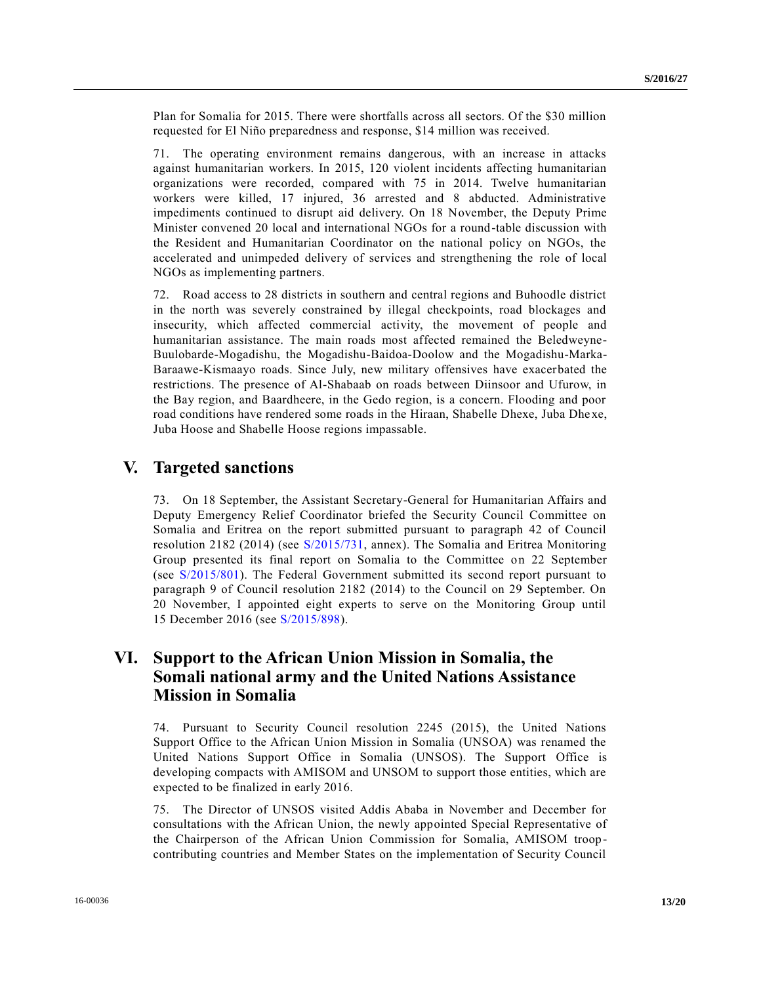Plan for Somalia for 2015. There were shortfalls across all sectors. Of the \$30 million requested for El Niño preparedness and response, \$14 million was received.

71. The operating environment remains dangerous, with an increase in attacks against humanitarian workers. In 2015, 120 violent incidents affecting humanitarian organizations were recorded, compared with 75 in 2014. Twelve humanitarian workers were killed, 17 injured, 36 arrested and 8 abducted. Administrative impediments continued to disrupt aid delivery. On 18 November, the Deputy Prime Minister convened 20 local and international NGOs for a round-table discussion with the Resident and Humanitarian Coordinator on the national policy on NGOs, the accelerated and unimpeded delivery of services and strengthening the role of local NGOs as implementing partners.

72. Road access to 28 districts in southern and central regions and Buhoodle district in the north was severely constrained by illegal checkpoints, road blockages and insecurity, which affected commercial activity, the movement of people and humanitarian assistance. The main roads most affected remained the Beledweyne-Buulobarde-Mogadishu, the Mogadishu-Baidoa-Doolow and the Mogadishu-Marka-Baraawe-Kismaayo roads. Since July, new military offensives have exacerbated the restrictions. The presence of Al-Shabaab on roads between Diinsoor and Ufurow, in the Bay region, and Baardheere, in the Gedo region, is a concern. Flooding and poor road conditions have rendered some roads in the Hiraan, Shabelle Dhexe, Juba Dhexe, Juba Hoose and Shabelle Hoose regions impassable.

## **V. Targeted sanctions**

73. On 18 September, the Assistant Secretary-General for Humanitarian Affairs and Deputy Emergency Relief Coordinator briefed the Security Council Committee on Somalia and Eritrea on the report submitted pursuant to paragraph 42 of Council resolution 2182 (2014) (see [S/2015/731,](http://undocs.org/S/2015/731) annex). The Somalia and Eritrea Monitoring Group presented its final report on Somalia to the Committee on 22 September (see [S/2015/801\)](http://undocs.org/S/2015/801). The Federal Government submitted its second report pursuant to paragraph 9 of Council resolution 2182 (2014) to the Council on 29 September. On 20 November, I appointed eight experts to serve on the Monitoring Group until 15 December 2016 (see [S/2015/898\)](http://undocs.org/S/2015/898).

# **VI. Support to the African Union Mission in Somalia, the Somali national army and the United Nations Assistance Mission in Somalia**

74. Pursuant to Security Council resolution 2245 (2015), the United Nations Support Office to the African Union Mission in Somalia (UNSOA) was renamed the United Nations Support Office in Somalia (UNSOS). The Support Office is developing compacts with AMISOM and UNSOM to support those entities, which are expected to be finalized in early 2016.

75. The Director of UNSOS visited Addis Ababa in November and December for consultations with the African Union, the newly appointed Special Representative of the Chairperson of the African Union Commission for Somalia, AMISOM troopcontributing countries and Member States on the implementation of Security Council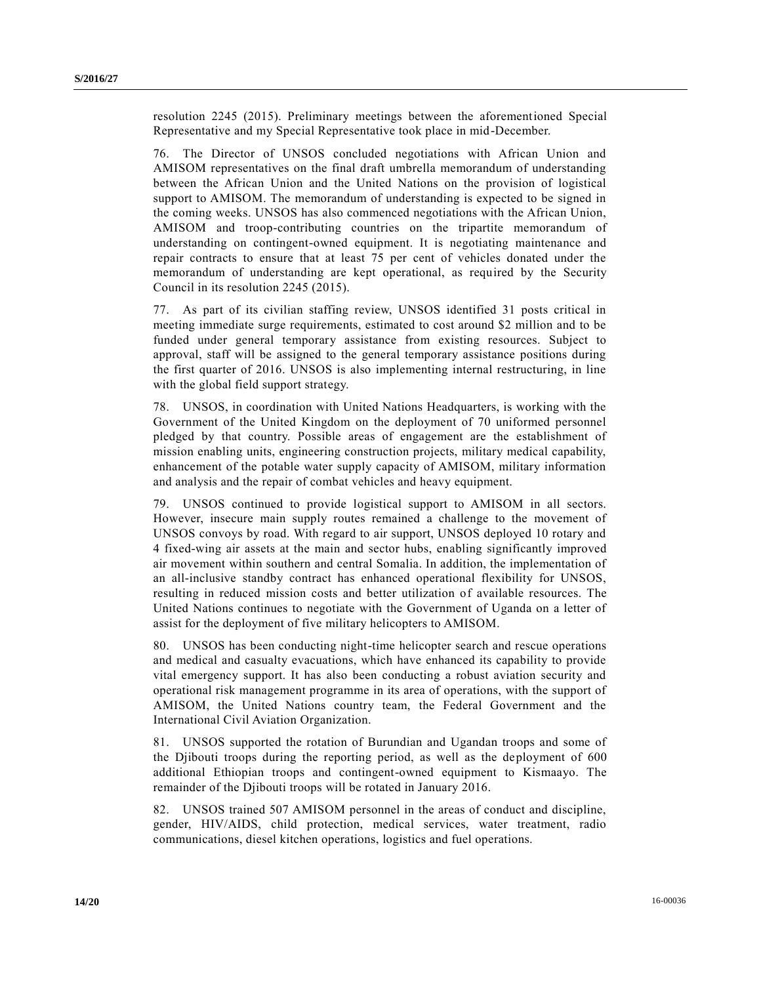resolution 2245 (2015). Preliminary meetings between the aforementioned Special Representative and my Special Representative took place in mid-December.

76. The Director of UNSOS concluded negotiations with African Union and AMISOM representatives on the final draft umbrella memorandum of understanding between the African Union and the United Nations on the provision of logistical support to AMISOM. The memorandum of understanding is expected to be signed in the coming weeks. UNSOS has also commenced negotiations with the African Union, AMISOM and troop-contributing countries on the tripartite memorandum of understanding on contingent-owned equipment. It is negotiating maintenance and repair contracts to ensure that at least 75 per cent of vehicles donated under the memorandum of understanding are kept operational, as required by the Security Council in its resolution 2245 (2015).

77. As part of its civilian staffing review, UNSOS identified 31 posts critical in meeting immediate surge requirements, estimated to cost around \$2 million and to be funded under general temporary assistance from existing resources. Subject to approval, staff will be assigned to the general temporary assistance positions during the first quarter of 2016. UNSOS is also implementing internal restructuring, in line with the global field support strategy.

78. UNSOS, in coordination with United Nations Headquarters, is working with the Government of the United Kingdom on the deployment of 70 uniformed personnel pledged by that country. Possible areas of engagement are the establishment of mission enabling units, engineering construction projects, military medical capability, enhancement of the potable water supply capacity of AMISOM, military information and analysis and the repair of combat vehicles and heavy equipment.

79. UNSOS continued to provide logistical support to AMISOM in all sectors. However, insecure main supply routes remained a challenge to the movement of UNSOS convoys by road. With regard to air support, UNSOS deployed 10 rotary and 4 fixed-wing air assets at the main and sector hubs, enabling significantly improved air movement within southern and central Somalia. In addition, the implementation of an all-inclusive standby contract has enhanced operational flexibility for UNSOS, resulting in reduced mission costs and better utilization of available resources. The United Nations continues to negotiate with the Government of Uganda on a letter of assist for the deployment of five military helicopters to AMISOM.

80. UNSOS has been conducting night-time helicopter search and rescue operations and medical and casualty evacuations, which have enhanced its capability to provide vital emergency support. It has also been conducting a robust aviation security and operational risk management programme in its area of operations, with the support of AMISOM, the United Nations country team, the Federal Government and the International Civil Aviation Organization.

81. UNSOS supported the rotation of Burundian and Ugandan troops and some of the Djibouti troops during the reporting period, as well as the deployment of 600 additional Ethiopian troops and contingent-owned equipment to Kismaayo. The remainder of the Djibouti troops will be rotated in January 2016.

82. UNSOS trained 507 AMISOM personnel in the areas of conduct and discipline, gender, HIV/AIDS, child protection, medical services, water treatment, radio communications, diesel kitchen operations, logistics and fuel operations.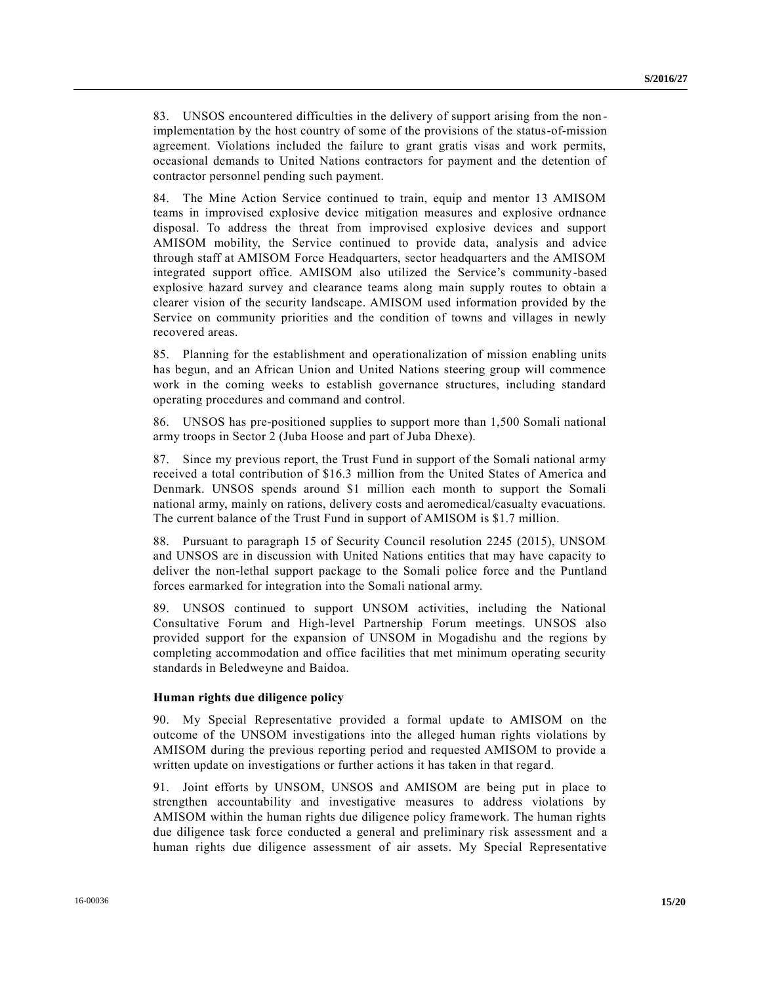83. UNSOS encountered difficulties in the delivery of support arising from the nonimplementation by the host country of some of the provisions of the status-of-mission agreement. Violations included the failure to grant gratis visas and work permits, occasional demands to United Nations contractors for payment and the detention of contractor personnel pending such payment.

84. The Mine Action Service continued to train, equip and mentor 13 AMISOM teams in improvised explosive device mitigation measures and explosive ordnance disposal. To address the threat from improvised explosive devices and support AMISOM mobility, the Service continued to provide data, analysis and advice through staff at AMISOM Force Headquarters, sector headquarters and the AMISOM integrated support office. AMISOM also utilized the Service's community-based explosive hazard survey and clearance teams along main supply routes to obtain a clearer vision of the security landscape. AMISOM used information provided by the Service on community priorities and the condition of towns and villages in newly recovered areas.

85. Planning for the establishment and operationalization of mission enabling units has begun, and an African Union and United Nations steering group will commence work in the coming weeks to establish governance structures, including standard operating procedures and command and control.

86. UNSOS has pre-positioned supplies to support more than 1,500 Somali national army troops in Sector 2 (Juba Hoose and part of Juba Dhexe).

87. Since my previous report, the Trust Fund in support of the Somali national army received a total contribution of \$16.3 million from the United States of America and Denmark. UNSOS spends around \$1 million each month to support the Somali national army, mainly on rations, delivery costs and aeromedical/casualty evacuations. The current balance of the Trust Fund in support of AMISOM is \$1.7 million.

88. Pursuant to paragraph 15 of Security Council resolution 2245 (2015), UNSOM and UNSOS are in discussion with United Nations entities that may have capacity to deliver the non-lethal support package to the Somali police force and the Puntland forces earmarked for integration into the Somali national army.

89. UNSOS continued to support UNSOM activities, including the National Consultative Forum and High-level Partnership Forum meetings. UNSOS also provided support for the expansion of UNSOM in Mogadishu and the regions by completing accommodation and office facilities that met minimum operating security standards in Beledweyne and Baidoa.

### **Human rights due diligence policy**

90. My Special Representative provided a formal update to AMISOM on the outcome of the UNSOM investigations into the alleged human rights violations by AMISOM during the previous reporting period and requested AMISOM to provide a written update on investigations or further actions it has taken in that regard.

91. Joint efforts by UNSOM, UNSOS and AMISOM are being put in place to strengthen accountability and investigative measures to address violations by AMISOM within the human rights due diligence policy framework. The human rights due diligence task force conducted a general and preliminary risk assessment and a human rights due diligence assessment of air assets. My Special Representative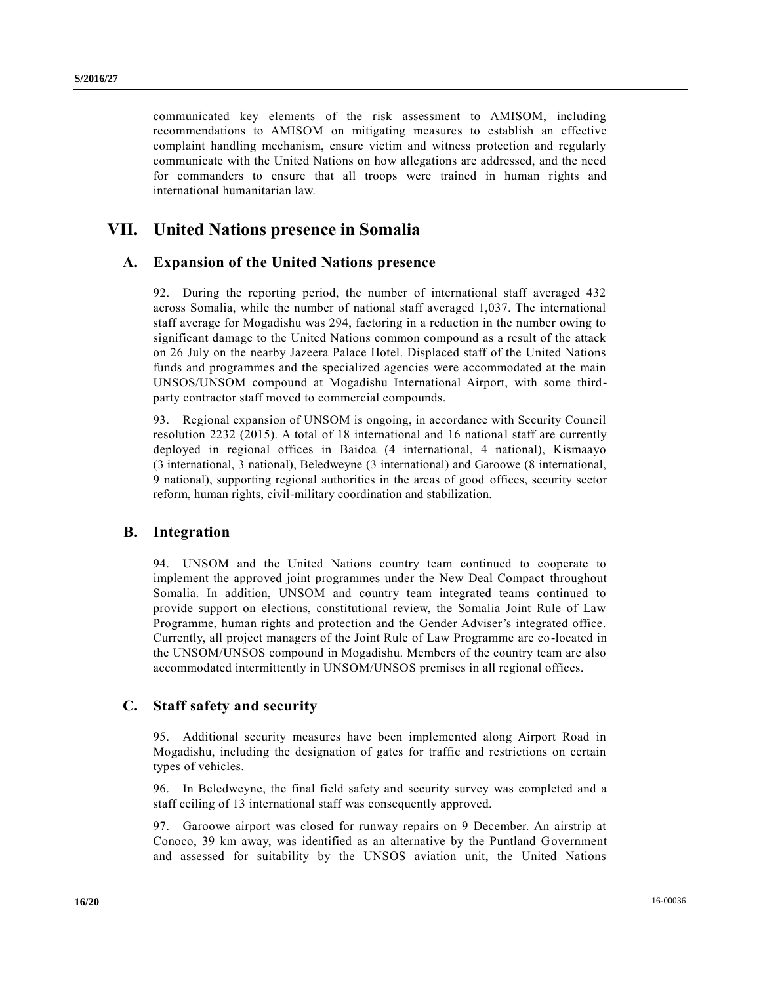communicated key elements of the risk assessment to AMISOM, including recommendations to AMISOM on mitigating measures to establish an effective complaint handling mechanism, ensure victim and witness protection and regularly communicate with the United Nations on how allegations are addressed, and the need for commanders to ensure that all troops were trained in human rights and international humanitarian law.

## **VII. United Nations presence in Somalia**

### **A. Expansion of the United Nations presence**

92. During the reporting period, the number of international staff averaged 432 across Somalia, while the number of national staff averaged 1,037. The international staff average for Mogadishu was 294, factoring in a reduction in the number owing to significant damage to the United Nations common compound as a result of the attack on 26 July on the nearby Jazeera Palace Hotel. Displaced staff of the United Nations funds and programmes and the specialized agencies were accommodated at the main UNSOS/UNSOM compound at Mogadishu International Airport, with some thirdparty contractor staff moved to commercial compounds.

93. Regional expansion of UNSOM is ongoing, in accordance with Security Council resolution 2232 (2015). A total of 18 international and 16 national staff are currently deployed in regional offices in Baidoa (4 international, 4 national), Kismaayo (3 international, 3 national), Beledweyne (3 international) and Garoowe (8 international, 9 national), supporting regional authorities in the areas of good offices, security sector reform, human rights, civil-military coordination and stabilization.

### **B. Integration**

94. UNSOM and the United Nations country team continued to cooperate to implement the approved joint programmes under the New Deal Compact throughout Somalia. In addition, UNSOM and country team integrated teams continued to provide support on elections, constitutional review, the Somalia Joint Rule of Law Programme, human rights and protection and the Gender Adviser's integrated office. Currently, all project managers of the Joint Rule of Law Programme are co-located in the UNSOM/UNSOS compound in Mogadishu. Members of the country team are also accommodated intermittently in UNSOM/UNSOS premises in all regional offices.

### **C. Staff safety and security**

95. Additional security measures have been implemented along Airport Road in Mogadishu, including the designation of gates for traffic and restrictions on certain types of vehicles.

96. In Beledweyne, the final field safety and security survey was completed and a staff ceiling of 13 international staff was consequently approved.

97. Garoowe airport was closed for runway repairs on 9 December. An airstrip at Conoco, 39 km away, was identified as an alternative by the Puntland Government and assessed for suitability by the UNSOS aviation unit, the United Nations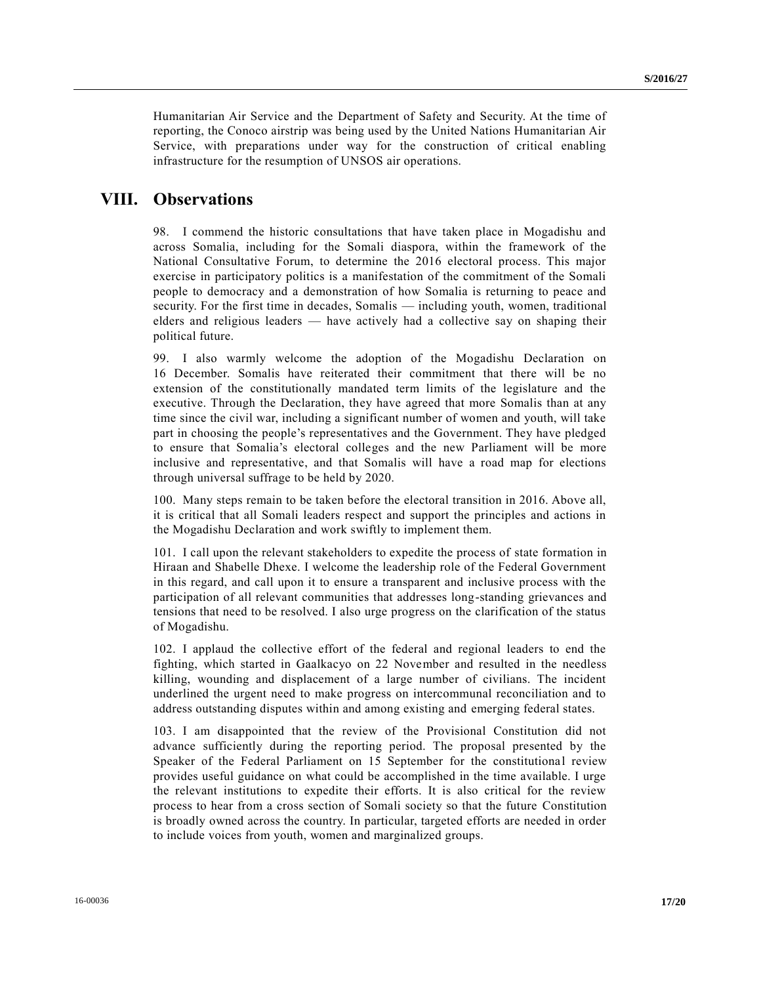Humanitarian Air Service and the Department of Safety and Security. At the time of reporting, the Conoco airstrip was being used by the United Nations Humanitarian Air Service, with preparations under way for the construction of critical enabling infrastructure for the resumption of UNSOS air operations.

## **VIII. Observations**

98. I commend the historic consultations that have taken place in Mogadishu and across Somalia, including for the Somali diaspora, within the framework of the National Consultative Forum, to determine the 2016 electoral process. This major exercise in participatory politics is a manifestation of the commitment of the Somali people to democracy and a demonstration of how Somalia is returning to peace and security. For the first time in decades, Somalis — including youth, women, traditional elders and religious leaders — have actively had a collective say on shaping their political future.

99. I also warmly welcome the adoption of the Mogadishu Declaration on 16 December. Somalis have reiterated their commitment that there will be no extension of the constitutionally mandated term limits of the legislature and the executive. Through the Declaration, they have agreed that more Somalis than at any time since the civil war, including a significant number of women and youth, will take part in choosing the people's representatives and the Government. They have pledged to ensure that Somalia's electoral colleges and the new Parliament will be more inclusive and representative, and that Somalis will have a road map for elections through universal suffrage to be held by 2020.

100. Many steps remain to be taken before the electoral transition in 2016. Above all, it is critical that all Somali leaders respect and support the principles and actions in the Mogadishu Declaration and work swiftly to implement them.

101. I call upon the relevant stakeholders to expedite the process of state formation in Hiraan and Shabelle Dhexe. I welcome the leadership role of the Federal Government in this regard, and call upon it to ensure a transparent and inclusive process with the participation of all relevant communities that addresses long-standing grievances and tensions that need to be resolved. I also urge progress on the clarification of the status of Mogadishu.

102. I applaud the collective effort of the federal and regional leaders to end the fighting, which started in Gaalkacyo on 22 November and resulted in the needless killing, wounding and displacement of a large number of civilians. The incident underlined the urgent need to make progress on intercommunal reconciliation and to address outstanding disputes within and among existing and emerging federal states.

103. I am disappointed that the review of the Provisional Constitution did not advance sufficiently during the reporting period. The proposal presented by the Speaker of the Federal Parliament on 15 September for the constitutional review provides useful guidance on what could be accomplished in the time available. I urge the relevant institutions to expedite their efforts. It is also critical for the review process to hear from a cross section of Somali society so that the future Constitution is broadly owned across the country. In particular, targeted efforts are needed in order to include voices from youth, women and marginalized groups.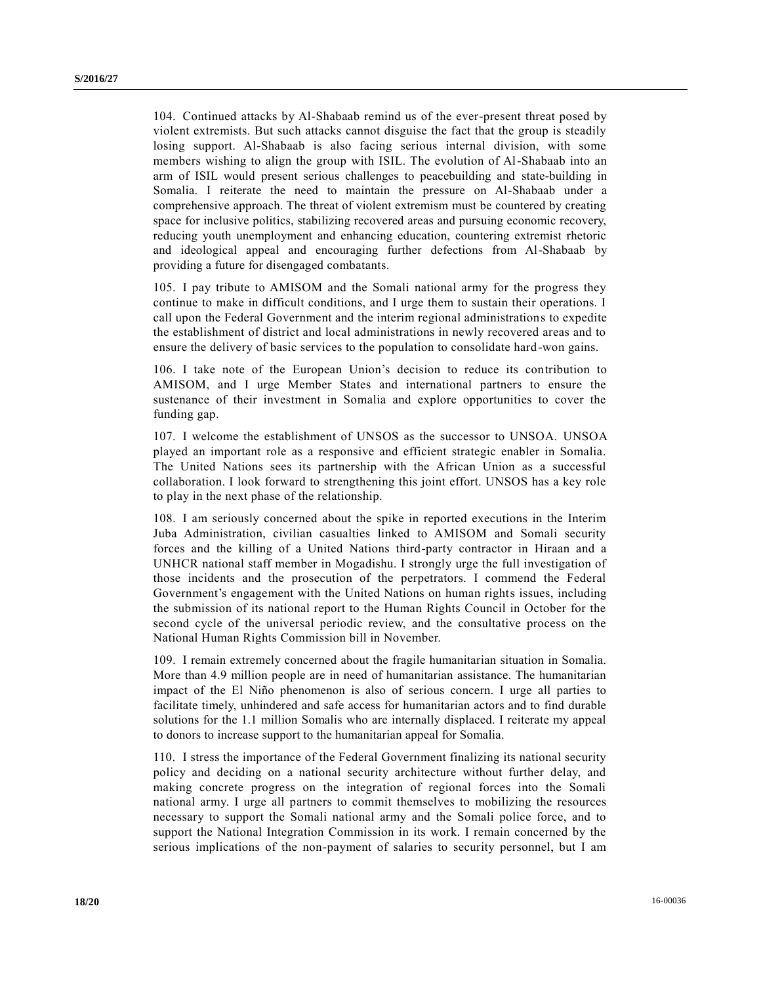104. Continued attacks by Al-Shabaab remind us of the ever-present threat posed by violent extremists. But such attacks cannot disguise the fact that the group is steadily losing support. Al-Shabaab is also facing serious internal division, with some members wishing to align the group with ISIL. The evolution of Al-Shabaab into an arm of ISIL would present serious challenges to peacebuilding and state-building in Somalia. I reiterate the need to maintain the pressure on Al-Shabaab under a comprehensive approach. The threat of violent extremism must be countered by creating space for inclusive politics, stabilizing recovered areas and pursuing economic recovery, reducing youth unemployment and enhancing education, countering extremist rhetoric and ideological appeal and encouraging further defections from Al-Shabaab by providing a future for disengaged combatants.

105. I pay tribute to AMISOM and the Somali national army for the progress they continue to make in difficult conditions, and I urge them to sustain their operations. I call upon the Federal Government and the interim regional administrations to expedite the establishment of district and local administrations in newly recovered areas and to ensure the delivery of basic services to the population to consolidate hard-won gains.

106. I take note of the European Union's decision to reduce its contribution to AMISOM, and I urge Member States and international partners to ensure the sustenance of their investment in Somalia and explore opportunities to cover the funding gap.

107. I welcome the establishment of UNSOS as the successor to UNSOA. UNSOA played an important role as a responsive and efficient strategic enabler in Somalia. The United Nations sees its partnership with the African Union as a successful collaboration. I look forward to strengthening this joint effort. UNSOS has a key role to play in the next phase of the relationship.

108. I am seriously concerned about the spike in reported executions in the Interim Juba Administration, civilian casualties linked to AMISOM and Somali security forces and the killing of a United Nations third-party contractor in Hiraan and a UNHCR national staff member in Mogadishu. I strongly urge the full investigation of those incidents and the prosecution of the perpetrators. I commend the Federal Government's engagement with the United Nations on human rights issues, including the submission of its national report to the Human Rights Council in October for the second cycle of the universal periodic review, and the consultative process on the National Human Rights Commission bill in November.

109. I remain extremely concerned about the fragile humanitarian situation in Somalia. More than 4.9 million people are in need of humanitarian assistance. The humanitarian impact of the El Niño phenomenon is also of serious concern. I urge all parties to facilitate timely, unhindered and safe access for humanitarian actors and to find durable solutions for the 1.1 million Somalis who are internally displaced. I reiterate my appeal to donors to increase support to the humanitarian appeal for Somalia.

110. I stress the importance of the Federal Government finalizing its national security policy and deciding on a national security architecture without further delay, and making concrete progress on the integration of regional forces into the Somali national army. I urge all partners to commit themselves to mobilizing the resources necessary to support the Somali national army and the Somali police force, and to support the National Integration Commission in its work. I remain concerned by the serious implications of the non-payment of salaries to security personnel, but I am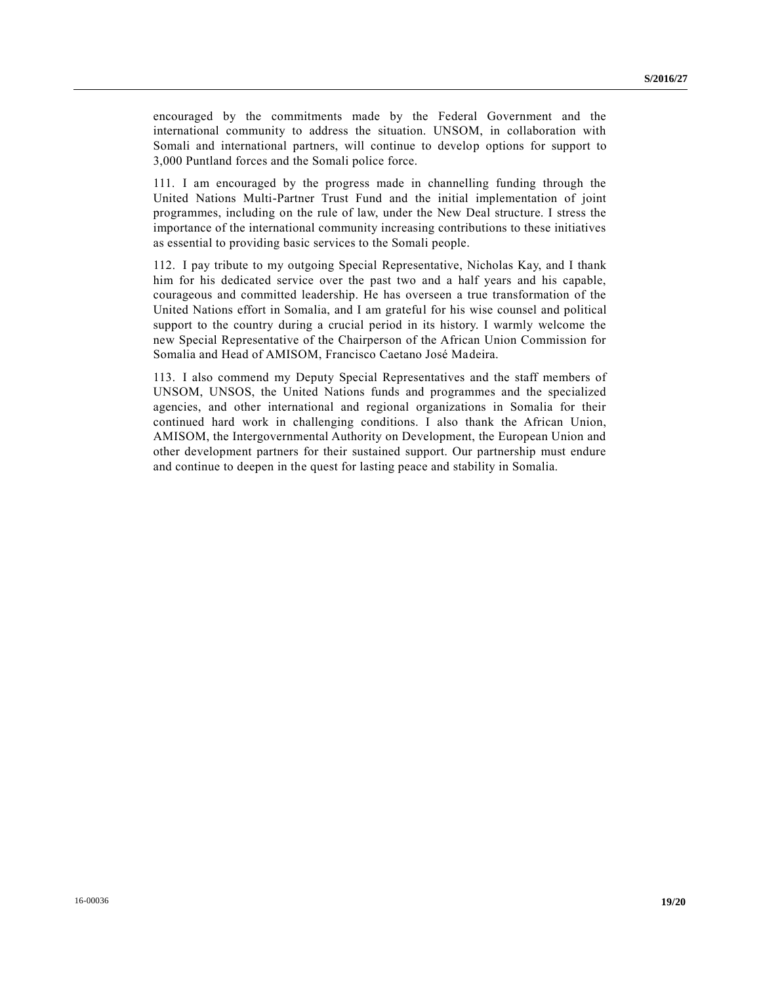encouraged by the commitments made by the Federal Government and the international community to address the situation. UNSOM, in collaboration with Somali and international partners, will continue to develop options for support to 3,000 Puntland forces and the Somali police force.

111. I am encouraged by the progress made in channelling funding through the United Nations Multi-Partner Trust Fund and the initial implementation of joint programmes, including on the rule of law, under the New Deal structure. I stress the importance of the international community increasing contributions to these initiatives as essential to providing basic services to the Somali people.

112. I pay tribute to my outgoing Special Representative, Nicholas Kay, and I thank him for his dedicated service over the past two and a half years and his capable, courageous and committed leadership. He has overseen a true transformation of the United Nations effort in Somalia, and I am grateful for his wise counsel and political support to the country during a crucial period in its history. I warmly welcome the new Special Representative of the Chairperson of the African Union Commission for Somalia and Head of AMISOM, Francisco Caetano José Madeira.

113. I also commend my Deputy Special Representatives and the staff members of UNSOM, UNSOS, the United Nations funds and programmes and the specialized agencies, and other international and regional organizations in Somalia for their continued hard work in challenging conditions. I also thank the African Union, AMISOM, the Intergovernmental Authority on Development, the European Union and other development partners for their sustained support. Our partnership must endure and continue to deepen in the quest for lasting peace and stability in Somalia.